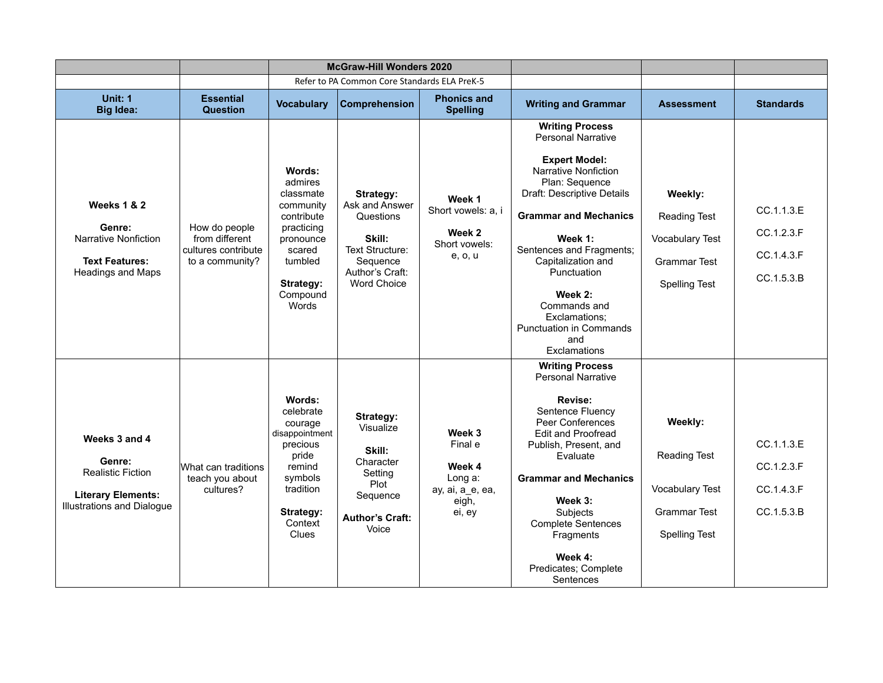|                                                                                                                       | <b>McGraw-Hill Wonders 2020</b>                                           |                                                                                                                                             |                                                                                                                            |                                                                               |                                                                                                                                                                                                                                                                                                                                                                      |                                                                                           |                                                      |
|-----------------------------------------------------------------------------------------------------------------------|---------------------------------------------------------------------------|---------------------------------------------------------------------------------------------------------------------------------------------|----------------------------------------------------------------------------------------------------------------------------|-------------------------------------------------------------------------------|----------------------------------------------------------------------------------------------------------------------------------------------------------------------------------------------------------------------------------------------------------------------------------------------------------------------------------------------------------------------|-------------------------------------------------------------------------------------------|------------------------------------------------------|
|                                                                                                                       |                                                                           |                                                                                                                                             | Refer to PA Common Core Standards ELA PreK-5                                                                               |                                                                               |                                                                                                                                                                                                                                                                                                                                                                      |                                                                                           |                                                      |
| Unit: 1<br><b>Big Idea:</b>                                                                                           | <b>Essential</b><br><b>Question</b>                                       | <b>Vocabulary</b>                                                                                                                           | <b>Comprehension</b>                                                                                                       | <b>Phonics and</b><br><b>Spelling</b>                                         | <b>Writing and Grammar</b>                                                                                                                                                                                                                                                                                                                                           | <b>Assessment</b>                                                                         | <b>Standards</b>                                     |
| <b>Weeks 1 &amp; 2</b><br>Genre:<br>Narrative Nonfiction<br><b>Text Features:</b><br><b>Headings and Maps</b>         | How do people<br>from different<br>cultures contribute<br>to a community? | Words:<br>admires<br>classmate<br>community<br>contribute<br>practicing<br>pronounce<br>scared<br>tumbled<br>Strategy:<br>Compound<br>Words | Strategy:<br>Ask and Answer<br>Questions<br>Skill:<br>Text Structure:<br>Sequence<br>Author's Craft:<br><b>Word Choice</b> | Week 1<br>Short vowels: a, i<br>Week 2<br>Short vowels:<br>e, o, u            | <b>Writing Process</b><br><b>Personal Narrative</b><br><b>Expert Model:</b><br>Narrative Nonfiction<br>Plan: Sequence<br>Draft: Descriptive Details<br><b>Grammar and Mechanics</b><br>Week 1:<br>Sentences and Fragments;<br>Capitalization and<br>Punctuation<br>Week 2:<br>Commands and<br>Exclamations:<br><b>Punctuation in Commands</b><br>and<br>Exclamations | Weekly:<br>Reading Test<br><b>Vocabulary Test</b><br>Grammar Test<br><b>Spelling Test</b> | CC.1.1.3.E<br>CC.1.2.3.F<br>CC.1.4.3.F<br>CC.1.5.3.B |
| Weeks 3 and 4<br>Genre:<br><b>Realistic Fiction</b><br><b>Literary Elements:</b><br><b>Illustrations and Dialogue</b> | What can traditions<br>teach you about<br>cultures?                       | Words:<br>celebrate<br>courage<br>disappointment<br>precious<br>pride<br>remind<br>symbols<br>tradition<br>Strategy:<br>Context<br>Clues    | Strategy:<br>Visualize<br>Skill:<br>Character<br>Setting<br>Plot<br>Sequence<br><b>Author's Craft:</b><br>Voice            | Week 3<br>Final e<br>Week 4<br>Long a:<br>ay, ai, a_e, ea,<br>eigh,<br>ei, ey | <b>Writing Process</b><br><b>Personal Narrative</b><br>Revise:<br>Sentence Fluency<br>Peer Conferences<br><b>Edit and Proofread</b><br>Publish, Present, and<br>Evaluate<br><b>Grammar and Mechanics</b><br>Week 3:<br>Subjects<br><b>Complete Sentences</b><br>Fragments<br>Week 4:<br>Predicates; Complete<br>Sentences                                            | Weekly:<br><b>Reading Test</b><br>Vocabulary Test<br>Grammar Test<br><b>Spelling Test</b> | CC.1.1.3.E<br>CC.1.2.3.F<br>CC.1.4.3.F<br>CC.1.5.3.B |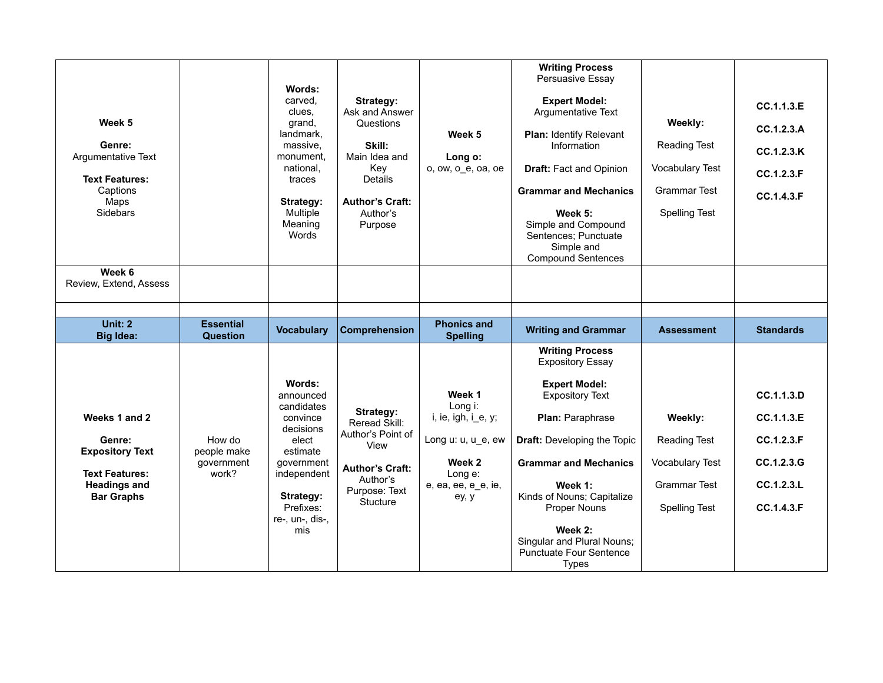| Week 5<br>Genre:<br>Argumentative Text<br><b>Text Features:</b><br>Captions<br>Maps<br><b>Sidebars</b><br>Week 6<br>Review, Extend, Assess |                                              | Words:<br>carved.<br>clues.<br>grand,<br>landmark,<br>massive,<br>monument.<br>national,<br>traces<br>Strategy:<br>Multiple<br>Meaning<br>Words                  | Strategy:<br>Ask and Answer<br>Questions<br>Skill:<br>Main Idea and<br>Key<br>Details<br><b>Author's Craft:</b><br>Author's<br>Purpose | Week 5<br>Long o:<br>o, ow, o_e, oa, oe                                                                             | <b>Writing Process</b><br>Persuasive Essay<br><b>Expert Model:</b><br>Argumentative Text<br><b>Plan: Identify Relevant</b><br>Information<br>Draft: Fact and Opinion<br><b>Grammar and Mechanics</b><br>Week 5:<br>Simple and Compound<br>Sentences; Punctuate<br>Simple and<br><b>Compound Sentences</b>                                         | Weekly:<br>Reading Test<br><b>Vocabulary Test</b><br><b>Grammar Test</b><br><b>Spelling Test</b> | CC.1.1.3.E<br>CC.1.2.3.A<br>CC.1.2.3.K<br>CC.1.2.3.F<br>CC.1.4.3.F               |
|--------------------------------------------------------------------------------------------------------------------------------------------|----------------------------------------------|------------------------------------------------------------------------------------------------------------------------------------------------------------------|----------------------------------------------------------------------------------------------------------------------------------------|---------------------------------------------------------------------------------------------------------------------|---------------------------------------------------------------------------------------------------------------------------------------------------------------------------------------------------------------------------------------------------------------------------------------------------------------------------------------------------|--------------------------------------------------------------------------------------------------|----------------------------------------------------------------------------------|
|                                                                                                                                            |                                              |                                                                                                                                                                  |                                                                                                                                        |                                                                                                                     |                                                                                                                                                                                                                                                                                                                                                   |                                                                                                  |                                                                                  |
| <b>Unit: 2</b><br><b>Big Idea:</b>                                                                                                         | <b>Essential</b><br><b>Question</b>          | <b>Vocabulary</b>                                                                                                                                                | <b>Comprehension</b>                                                                                                                   | <b>Phonics and</b><br><b>Spelling</b>                                                                               | <b>Writing and Grammar</b>                                                                                                                                                                                                                                                                                                                        | <b>Assessment</b>                                                                                | <b>Standards</b>                                                                 |
| Weeks 1 and 2<br>Genre:<br><b>Expository Text</b><br><b>Text Features:</b><br><b>Headings and</b><br><b>Bar Graphs</b>                     | How do<br>people make<br>government<br>work? | Words:<br>announced<br>candidates<br>convince<br>decisions<br>elect<br>estimate<br>government<br>independent<br>Strategy:<br>Prefixes:<br>re-, un-, dis-,<br>mis | Strategy:<br>Reread Skill:<br>Author's Point of<br>View<br><b>Author's Craft:</b><br>Author's<br>Purpose: Text<br>Stucture             | Week 1<br>Long i:<br>i, ie, igh, i_e, y;<br>Long u: u, u_e, ew<br>Week 2<br>Long e:<br>e, ea, ee, e_e, ie,<br>ey, y | <b>Writing Process</b><br><b>Expository Essay</b><br><b>Expert Model:</b><br><b>Expository Text</b><br>Plan: Paraphrase<br><b>Draft:</b> Developing the Topic<br><b>Grammar and Mechanics</b><br>Week 1:<br>Kinds of Nouns; Capitalize<br>Proper Nouns<br>Week 2:<br>Singular and Plural Nouns;<br><b>Punctuate Four Sentence</b><br><b>Types</b> | Weekly:<br><b>Reading Test</b><br><b>Vocabulary Test</b><br>Grammar Test<br><b>Spelling Test</b> | CC.1.1.3.D<br>CC.1.1.3.E<br>CC.1.2.3.F<br>CC.1.2.3.G<br>CC.1.2.3.L<br>CC.1.4.3.F |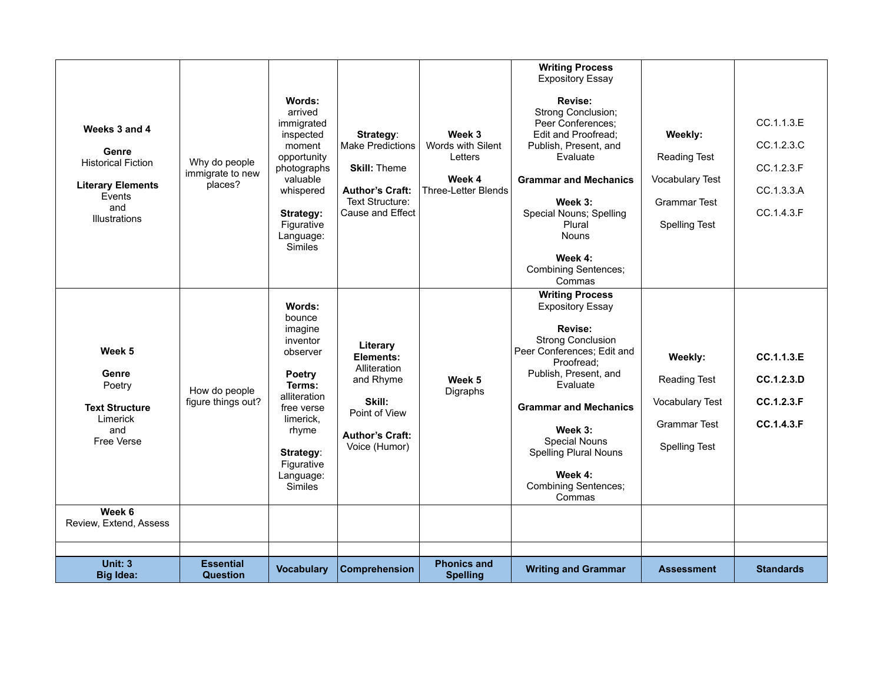| Weeks 3 and 4<br>Genre<br><b>Historical Fiction</b><br><b>Literary Elements</b><br>Events<br>and<br>Illustrations | Why do people<br>immigrate to new<br>places? | Words:<br>arrived<br>immigrated<br>inspected<br>moment<br>opportunity<br>photographs<br>valuable<br>whispered<br>Strategy:<br>Figurative<br>Language:<br>Similes                             | Strategy:<br><b>Make Predictions</b><br><b>Skill: Theme</b><br><b>Author's Craft:</b><br>Text Structure:<br>Cause and Effect | Week 3<br>Words with Silent<br>Letters<br>Week 4<br>Three-Letter Blends | <b>Writing Process</b><br><b>Expository Essay</b><br>Revise:<br>Strong Conclusion;<br>Peer Conferences:<br>Edit and Proofread:<br>Publish, Present, and<br>Evaluate<br><b>Grammar and Mechanics</b><br>Week 3:<br>Special Nouns; Spelling<br>Plural<br><b>Nouns</b><br>Week 4:<br><b>Combining Sentences;</b><br>Commas   | Weekly:<br><b>Reading Test</b><br><b>Vocabulary Test</b><br>Grammar Test<br><b>Spelling Test</b>        | CC.1.1.3.E<br>CC.1.2.3.C<br>CC.1.2.3.F<br>CC.1.3.3.A<br>CC.1.4.3.F |
|-------------------------------------------------------------------------------------------------------------------|----------------------------------------------|----------------------------------------------------------------------------------------------------------------------------------------------------------------------------------------------|------------------------------------------------------------------------------------------------------------------------------|-------------------------------------------------------------------------|---------------------------------------------------------------------------------------------------------------------------------------------------------------------------------------------------------------------------------------------------------------------------------------------------------------------------|---------------------------------------------------------------------------------------------------------|--------------------------------------------------------------------|
| Week <sub>5</sub><br>Genre<br>Poetry<br><b>Text Structure</b><br>Limerick<br>and<br>Free Verse<br>Week 6          | How do people<br>figure things out?          | Words:<br>bounce<br>imagine<br>inventor<br>observer<br><b>Poetry</b><br>Terms:<br>alliteration<br>free verse<br>limerick,<br>rhyme<br>Strategy:<br>Figurative<br>Language:<br><b>Similes</b> | Literary<br>Elements:<br>Alliteration<br>and Rhyme<br>Skill:<br>Point of View<br><b>Author's Craft:</b><br>Voice (Humor)     | Week 5<br>Digraphs                                                      | <b>Writing Process</b><br><b>Expository Essay</b><br>Revise:<br><b>Strong Conclusion</b><br>Peer Conferences; Edit and<br>Proofread:<br>Publish, Present, and<br>Evaluate<br><b>Grammar and Mechanics</b><br>Week 3:<br>Special Nouns<br><b>Spelling Plural Nouns</b><br>Week 4:<br><b>Combining Sentences;</b><br>Commas | Weekly:<br><b>Reading Test</b><br><b>Vocabulary Test</b><br><b>Grammar Test</b><br><b>Spelling Test</b> | CC.1.1.3.E<br>CC.1.2.3.D<br>CC.1.2.3.F<br>CC.1.4.3.F               |
| Review, Extend, Assess                                                                                            |                                              |                                                                                                                                                                                              |                                                                                                                              |                                                                         |                                                                                                                                                                                                                                                                                                                           |                                                                                                         |                                                                    |
|                                                                                                                   |                                              |                                                                                                                                                                                              |                                                                                                                              |                                                                         |                                                                                                                                                                                                                                                                                                                           |                                                                                                         |                                                                    |
| <b>Unit: 3</b><br><b>Big Idea:</b>                                                                                | <b>Essential</b><br><b>Question</b>          | <b>Vocabulary</b>                                                                                                                                                                            | <b>Comprehension</b>                                                                                                         | <b>Phonics and</b><br><b>Spelling</b>                                   | <b>Writing and Grammar</b>                                                                                                                                                                                                                                                                                                | <b>Assessment</b>                                                                                       | <b>Standards</b>                                                   |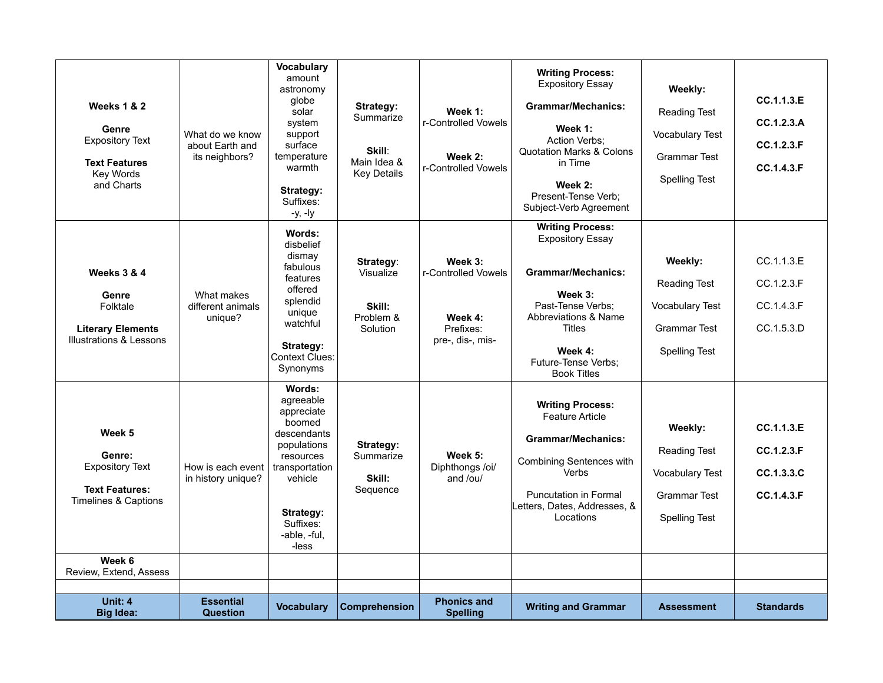| <b>Weeks 1 &amp; 2</b><br>Genre<br><b>Expository Text</b><br><b>Text Features</b><br>Key Words<br>and Charts     | What do we know<br>about Earth and<br>its neighbors? | <b>Vocabulary</b><br>amount<br>astronomy<br>globe<br>solar<br>system<br>support<br>surface<br>temperature<br>warmth<br>Strategy:<br>Suffixes:<br>$-y$ , $-ly$          | Strategy:<br>Summarize<br>Skill:<br>Main Idea &<br><b>Key Details</b> | Week 1:<br>r-Controlled Vowels<br>Week 2:<br>r-Controlled Vowels           | <b>Writing Process:</b><br><b>Expository Essay</b><br><b>Grammar/Mechanics:</b><br>Week 1:<br><b>Action Verbs:</b><br><b>Quotation Marks &amp; Colons</b><br>in Time<br>Week 2:<br>Present-Tense Verb;<br>Subject-Verb Agreement | Weekly:<br><b>Reading Test</b><br>Vocabulary Test<br><b>Grammar Test</b><br><b>Spelling Test</b> | CC.1.1.3.E<br>CC.1.2.3.A<br>CC.1.2.3.F<br>CC.1.4.3.F |
|------------------------------------------------------------------------------------------------------------------|------------------------------------------------------|------------------------------------------------------------------------------------------------------------------------------------------------------------------------|-----------------------------------------------------------------------|----------------------------------------------------------------------------|----------------------------------------------------------------------------------------------------------------------------------------------------------------------------------------------------------------------------------|--------------------------------------------------------------------------------------------------|------------------------------------------------------|
| <b>Weeks 3 &amp; 4</b><br>Genre<br>Folktale<br><b>Literary Elements</b><br><b>Illustrations &amp; Lessons</b>    | What makes<br>different animals<br>unique?           | Words:<br>disbelief<br>dismay<br>fabulous<br>features<br>offered<br>splendid<br>unique<br>watchful<br>Strategy:<br>Context Clues:<br>Synonyms                          | Strategy:<br>Visualize<br>Skill:<br>Problem &<br>Solution             | Week 3:<br>r-Controlled Vowels<br>Week 4:<br>Prefixes:<br>pre-, dis-, mis- | <b>Writing Process:</b><br><b>Expository Essay</b><br><b>Grammar/Mechanics:</b><br>Week 3:<br>Past-Tense Verbs:<br>Abbreviations & Name<br><b>Titles</b><br>Week 4:<br>Future-Tense Verbs:<br><b>Book Titles</b>                 | Weekly:<br><b>Reading Test</b><br>Vocabulary Test<br><b>Grammar Test</b><br><b>Spelling Test</b> | CC.1.1.3.E<br>CC.1.2.3.F<br>CC.1.4.3.F<br>CC.1.5.3.D |
| Week 5<br>Genre:<br><b>Expository Text</b><br><b>Text Features:</b><br><b>Timelines &amp; Captions</b><br>Week 6 | How is each event<br>in history unique?              | Words:<br>agreeable<br>appreciate<br>boomed<br>descendants<br>populations<br>resources<br>transportation<br>vehicle<br>Strategy:<br>Suffixes:<br>-able, -ful,<br>-less | Strategy:<br>Summarize<br>Skill:<br>Sequence                          | Week 5:<br>Diphthongs /oi/<br>and /ou/                                     | <b>Writing Process:</b><br><b>Feature Article</b><br><b>Grammar/Mechanics:</b><br>Combining Sentences with<br>Verbs<br><b>Puncutation in Formal</b><br>Letters, Dates, Addresses, &<br>Locations                                 | Weekly:<br>Reading Test<br><b>Vocabulary Test</b><br><b>Grammar Test</b><br><b>Spelling Test</b> | CC.1.1.3.E<br>CC.1.2.3.F<br>CC.1.3.3.C<br>CC.1.4.3.F |
| Review, Extend, Assess                                                                                           |                                                      |                                                                                                                                                                        |                                                                       |                                                                            |                                                                                                                                                                                                                                  |                                                                                                  |                                                      |
| Unit: 4<br><b>Big Idea:</b>                                                                                      | <b>Essential</b><br><b>Question</b>                  | <b>Vocabulary</b>                                                                                                                                                      | Comprehension                                                         | <b>Phonics and</b><br><b>Spelling</b>                                      | <b>Writing and Grammar</b>                                                                                                                                                                                                       | <b>Assessment</b>                                                                                | <b>Standards</b>                                     |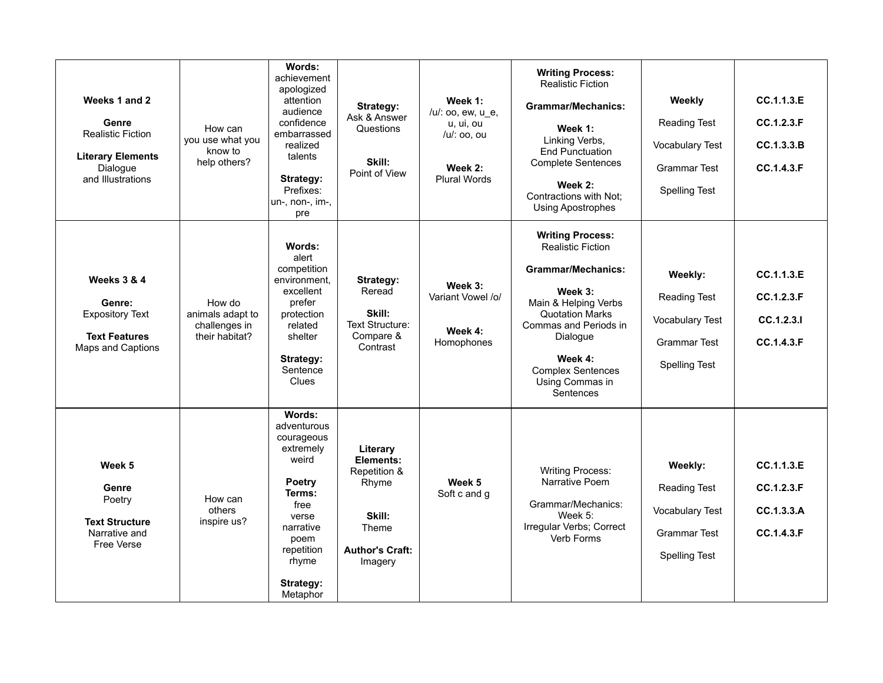| Weeks 1 and 2<br>Genre<br><b>Realistic Fiction</b><br><b>Literary Elements</b><br>Dialogue<br>and Illustrations | How can<br>you use what you<br>know to<br>help others?        | Words:<br>achievement<br>apologized<br>attention<br>audience<br>confidence<br>embarrassed<br>realized<br>talents<br>Strategy:<br>Prefixes:<br>un-, non-, im-,<br>pre | Strategy:<br>Ask & Answer<br>Questions<br>Skill:<br>Point of View                                      | Week 1:<br>/u/: oo, ew, u e,<br>u, ui, ou<br>/u/: oo. ou<br>Week 2:<br><b>Plural Words</b> | <b>Writing Process:</b><br><b>Realistic Fiction</b><br><b>Grammar/Mechanics:</b><br>Week 1:<br>Linking Verbs,<br><b>End Punctuation</b><br><b>Complete Sentences</b><br>Week 2:<br>Contractions with Not;<br><b>Using Apostrophes</b>                     | Weekly<br><b>Reading Test</b><br><b>Vocabulary Test</b><br><b>Grammar Test</b><br><b>Spelling Test</b>  | CC.1.1.3.E<br>CC.1.2.3.F<br>CC.1.3.3.B<br>CC.1.4.3.F |
|-----------------------------------------------------------------------------------------------------------------|---------------------------------------------------------------|----------------------------------------------------------------------------------------------------------------------------------------------------------------------|--------------------------------------------------------------------------------------------------------|--------------------------------------------------------------------------------------------|-----------------------------------------------------------------------------------------------------------------------------------------------------------------------------------------------------------------------------------------------------------|---------------------------------------------------------------------------------------------------------|------------------------------------------------------|
| <b>Weeks 3 &amp; 4</b><br>Genre:<br><b>Expository Text</b><br><b>Text Features</b><br>Maps and Captions         | How do<br>animals adapt to<br>challenges in<br>their habitat? | Words:<br>alert<br>competition<br>environment,<br>excellent<br>prefer<br>protection<br>related<br>shelter<br>Strategy:<br>Sentence<br><b>Clues</b>                   | Strategy:<br>Reread<br>Skill:<br>Text Structure:<br>Compare &<br>Contrast                              | Week 3:<br>Variant Vowel /o/<br>Week 4:<br>Homophones                                      | <b>Writing Process:</b><br><b>Realistic Fiction</b><br><b>Grammar/Mechanics:</b><br>Week 3:<br>Main & Helping Verbs<br><b>Quotation Marks</b><br>Commas and Periods in<br>Dialogue<br>Week 4:<br><b>Complex Sentences</b><br>Using Commas in<br>Sentences | Weekly:<br><b>Reading Test</b><br><b>Vocabulary Test</b><br>Grammar Test<br><b>Spelling Test</b>        | CC.1.1.3.E<br>CC.1.2.3.F<br>CC.1.2.3.1<br>CC.1.4.3.F |
| Week 5<br>Genre<br>Poetry<br><b>Text Structure</b><br>Narrative and<br><b>Free Verse</b>                        | How can<br>others<br>inspire us?                              | Words:<br>adventurous<br>courageous<br>extremely<br>weird<br>Poetry<br>Terms:<br>free<br>verse<br>narrative<br>poem<br>repetition<br>rhyme<br>Strategy:<br>Metaphor  | Literary<br>Elements:<br>Repetition &<br>Rhyme<br>Skill:<br>Theme<br><b>Author's Craft:</b><br>Imagery | Week 5<br>Soft c and g                                                                     | <b>Writing Process:</b><br>Narrative Poem<br>Grammar/Mechanics:<br>Week $5$ :<br>Irregular Verbs; Correct<br>Verb Forms                                                                                                                                   | Weekly:<br><b>Reading Test</b><br><b>Vocabulary Test</b><br><b>Grammar Test</b><br><b>Spelling Test</b> | CC.1.1.3.E<br>CC.1.2.3.F<br>CC.1.3.3.A<br>CC.1.4.3.F |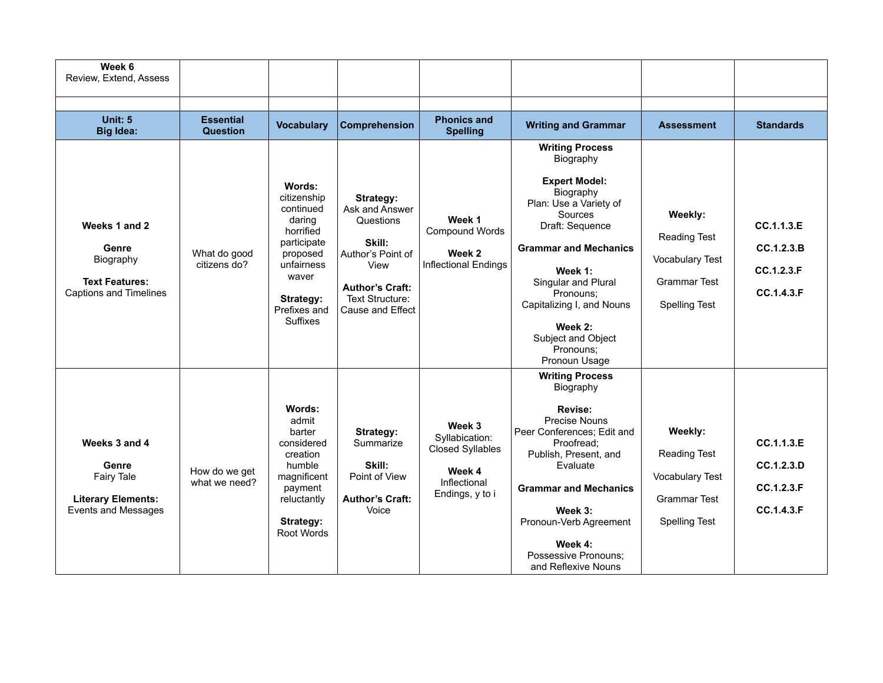| Week 6<br>Review, Extend, Assess                                                                       |                                |                                                                                                                                                             |                                                                                                                                                  |                                                                                                  |                                                                                                                                                                                                                                                                                                             |                                                                                                  |                                                      |
|--------------------------------------------------------------------------------------------------------|--------------------------------|-------------------------------------------------------------------------------------------------------------------------------------------------------------|--------------------------------------------------------------------------------------------------------------------------------------------------|--------------------------------------------------------------------------------------------------|-------------------------------------------------------------------------------------------------------------------------------------------------------------------------------------------------------------------------------------------------------------------------------------------------------------|--------------------------------------------------------------------------------------------------|------------------------------------------------------|
| Unit: $5$                                                                                              | <b>Essential</b>               |                                                                                                                                                             |                                                                                                                                                  | <b>Phonics and</b>                                                                               |                                                                                                                                                                                                                                                                                                             |                                                                                                  |                                                      |
| <b>Big Idea:</b>                                                                                       | <b>Question</b>                | <b>Vocabulary</b>                                                                                                                                           | <b>Comprehension</b>                                                                                                                             | <b>Spelling</b>                                                                                  | <b>Writing and Grammar</b>                                                                                                                                                                                                                                                                                  | <b>Assessment</b>                                                                                | <b>Standards</b>                                     |
| Weeks 1 and 2<br>Genre<br>Biography<br><b>Text Features:</b><br><b>Captions and Timelines</b>          | What do good<br>citizens do?   | Words:<br>citizenship<br>continued<br>daring<br>horrified<br>participate<br>proposed<br>unfairness<br>waver<br>Strategy:<br>Prefixes and<br><b>Suffixes</b> | Strategy:<br>Ask and Answer<br>Questions<br>Skill:<br>Author's Point of<br>View<br><b>Author's Craft:</b><br>Text Structure:<br>Cause and Effect | Week 1<br>Compound Words<br>Week 2<br>Inflectional Endings                                       | <b>Writing Process</b><br>Biography<br><b>Expert Model:</b><br>Biography<br>Plan: Use a Variety of<br>Sources<br>Draft: Sequence<br><b>Grammar and Mechanics</b><br>Week 1:<br>Singular and Plural<br>Pronouns:<br>Capitalizing I, and Nouns<br>Week 2:<br>Subject and Object<br>Pronouns:<br>Pronoun Usage | Weekly:<br>Reading Test<br><b>Vocabulary Test</b><br>Grammar Test<br>Spelling Test               | CC.1.1.3.E<br>CC.1.2.3.B<br>CC.1.2.3.F<br>CC.1.4.3.F |
| Weeks 3 and 4<br>Genre<br><b>Fairy Tale</b><br><b>Literary Elements:</b><br><b>Events and Messages</b> | How do we get<br>what we need? | Words:<br>admit<br>barter<br>considered<br>creation<br>humble<br>magnificent<br>payment<br>reluctantly<br>Strategy:<br>Root Words                           | Strategy:<br>Summarize<br>Skill:<br>Point of View<br><b>Author's Craft:</b><br>Voice                                                             | Week 3<br>Syllabication:<br><b>Closed Syllables</b><br>Week 4<br>Inflectional<br>Endings, y to i | <b>Writing Process</b><br>Biography<br>Revise:<br><b>Precise Nouns</b><br>Peer Conferences; Edit and<br>Proofread;<br>Publish, Present, and<br>Evaluate<br><b>Grammar and Mechanics</b><br>Week 3:<br>Pronoun-Verb Agreement<br>Week 4:<br>Possessive Pronouns;<br>and Reflexive Nouns                      | Weekly:<br>Reading Test<br><b>Vocabulary Test</b><br><b>Grammar Test</b><br><b>Spelling Test</b> | CC.1.1.3.E<br>CC.1.2.3.D<br>CC.1.2.3.F<br>CC.1.4.3.F |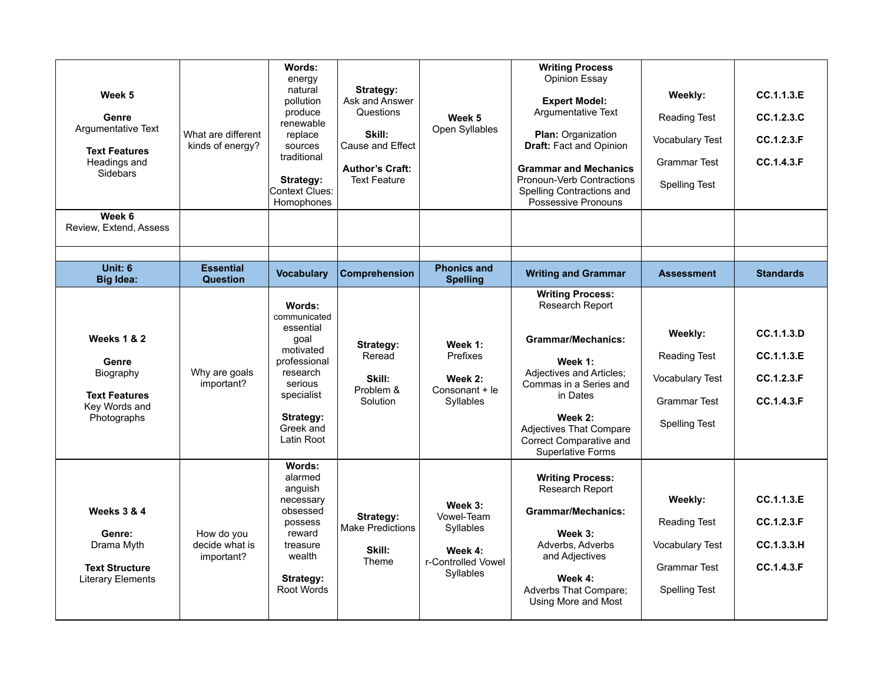| Week 5<br>Genre<br>Argumentative Text<br><b>Text Features</b><br>Headings and<br><b>Sidebars</b>     | What are different<br>kinds of energy?     | Words:<br>energy<br>natural<br>pollution<br>produce<br>renewable<br>replace<br>sources<br>traditional<br>Strategy:<br>Context Clues:<br>Homophones    | Strategy:<br>Ask and Answer<br>Questions<br>Skill:<br>Cause and Effect<br><b>Author's Craft:</b><br><b>Text Feature</b> | Week 5<br>Open Syllables                                                         | <b>Writing Process</b><br>Opinion Essay<br><b>Expert Model:</b><br>Argumentative Text<br>Plan: Organization<br>Draft: Fact and Opinion<br><b>Grammar and Mechanics</b><br>Pronoun-Verb Contractions<br>Spelling Contractions and<br>Possessive Pronouns  | Weekly:<br><b>Reading Test</b><br><b>Vocabulary Test</b><br><b>Grammar Test</b><br><b>Spelling Test</b> | CC.1.1.3.E<br>CC.1.2.3.C<br>CC.1.2.3.F<br>CC.1.4.3.F |
|------------------------------------------------------------------------------------------------------|--------------------------------------------|-------------------------------------------------------------------------------------------------------------------------------------------------------|-------------------------------------------------------------------------------------------------------------------------|----------------------------------------------------------------------------------|----------------------------------------------------------------------------------------------------------------------------------------------------------------------------------------------------------------------------------------------------------|---------------------------------------------------------------------------------------------------------|------------------------------------------------------|
| Week 6<br>Review, Extend, Assess                                                                     |                                            |                                                                                                                                                       |                                                                                                                         |                                                                                  |                                                                                                                                                                                                                                                          |                                                                                                         |                                                      |
| Unit: 6<br><b>Big Idea:</b>                                                                          | <b>Essential</b><br><b>Question</b>        | <b>Vocabulary</b>                                                                                                                                     | Comprehension                                                                                                           | <b>Phonics and</b><br><b>Spelling</b>                                            | <b>Writing and Grammar</b>                                                                                                                                                                                                                               | <b>Assessment</b>                                                                                       | <b>Standards</b>                                     |
| <b>Weeks 1 &amp; 2</b><br>Genre<br>Biography<br><b>Text Features</b><br>Key Words and<br>Photographs | Why are goals<br>important?                | Words:<br>communicated<br>essential<br>qoal<br>motivated<br>professional<br>research<br>serious<br>specialist<br>Strategy:<br>Greek and<br>Latin Root | Strategy:<br>Reread<br>Skill:<br>Problem &<br>Solution                                                                  | Week 1:<br>Prefixes<br>Week 2:<br>Consonant + le<br>Syllables                    | <b>Writing Process:</b><br>Research Report<br><b>Grammar/Mechanics:</b><br>Week 1:<br>Adjectives and Articles;<br>Commas in a Series and<br>in Dates<br>Week 2:<br><b>Adjectives That Compare</b><br>Correct Comparative and<br><b>Superlative Forms</b> | Weekly:<br><b>Reading Test</b><br><b>Vocabulary Test</b><br><b>Grammar Test</b><br><b>Spelling Test</b> | CC.1.1.3.D<br>CC.1.1.3.E<br>CC.1.2.3.F<br>CC.1.4.3.F |
| <b>Weeks 3 &amp; 4</b><br>Genre:<br>Drama Myth<br><b>Text Structure</b><br><b>Literary Elements</b>  | How do you<br>decide what is<br>important? | Words:<br>alarmed<br>anguish<br>necessary<br>obsessed<br>possess<br>reward<br>treasure<br>wealth<br>Strategy:<br><b>Root Words</b>                    | Strategy:<br><b>Make Predictions</b><br>Skill:<br>Theme                                                                 | Week 3:<br>Vowel-Team<br>Syllables<br>Week 4:<br>r-Controlled Vowel<br>Syllables | <b>Writing Process:</b><br>Research Report<br><b>Grammar/Mechanics:</b><br>Week 3:<br>Adverbs, Adverbs<br>and Adjectives<br>Week 4:<br>Adverbs That Compare;<br>Using More and Most                                                                      | Weekly:<br><b>Reading Test</b><br><b>Vocabulary Test</b><br><b>Grammar Test</b><br><b>Spelling Test</b> | CC.1.1.3.E<br>CC.1.2.3.F<br>CC.1.3.3.H<br>CC.1.4.3.F |